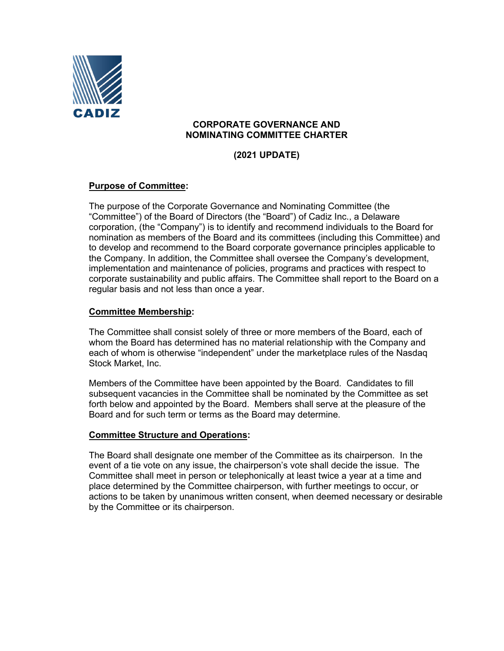

## **CORPORATE GOVERNANCE AND NOMINATING COMMITTEE CHARTER**

**(2021 UPDATE)**

# **Purpose of Committee:**

The purpose of the Corporate Governance and Nominating Committee (the "Committee") of the Board of Directors (the "Board") of Cadiz Inc., a Delaware corporation, (the "Company") is to identify and recommend individuals to the Board for nomination as members of the Board and its committees (including this Committee) and to develop and recommend to the Board corporate governance principles applicable to the Company. In addition, the Committee shall oversee the Company's development, implementation and maintenance of policies, programs and practices with respect to corporate sustainability and public affairs. The Committee shall report to the Board on a regular basis and not less than once a year.

### **Committee Membership:**

The Committee shall consist solely of three or more members of the Board, each of whom the Board has determined has no material relationship with the Company and each of whom is otherwise "independent" under the marketplace rules of the Nasdaq Stock Market, Inc.

Members of the Committee have been appointed by the Board. Candidates to fill subsequent vacancies in the Committee shall be nominated by the Committee as set forth below and appointed by the Board. Members shall serve at the pleasure of the Board and for such term or terms as the Board may determine.

#### **Committee Structure and Operations:**

The Board shall designate one member of the Committee as its chairperson. In the event of a tie vote on any issue, the chairperson's vote shall decide the issue. The Committee shall meet in person or telephonically at least twice a year at a time and place determined by the Committee chairperson, with further meetings to occur, or actions to be taken by unanimous written consent, when deemed necessary or desirable by the Committee or its chairperson.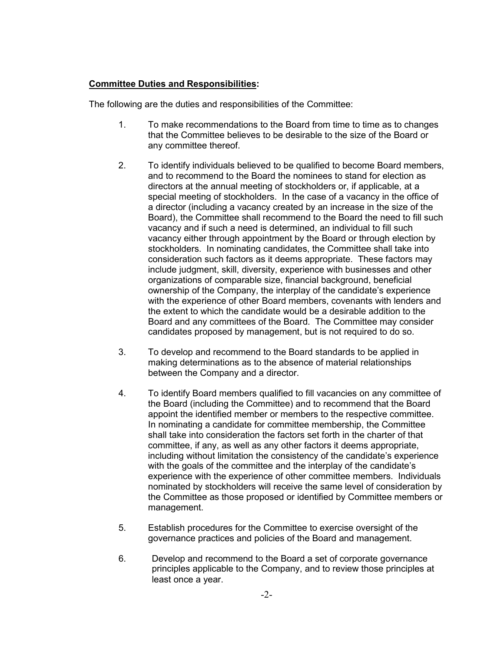## **Committee Duties and Responsibilities:**

The following are the duties and responsibilities of the Committee:

- 1. To make recommendations to the Board from time to time as to changes that the Committee believes to be desirable to the size of the Board or any committee thereof.
- 2. To identify individuals believed to be qualified to become Board members, and to recommend to the Board the nominees to stand for election as directors at the annual meeting of stockholders or, if applicable, at a special meeting of stockholders. In the case of a vacancy in the office of a director (including a vacancy created by an increase in the size of the Board), the Committee shall recommend to the Board the need to fill such vacancy and if such a need is determined, an individual to fill such vacancy either through appointment by the Board or through election by stockholders. In nominating candidates, the Committee shall take into consideration such factors as it deems appropriate. These factors may include judgment, skill, diversity, experience with businesses and other organizations of comparable size, financial background, beneficial ownership of the Company, the interplay of the candidate's experience with the experience of other Board members, covenants with lenders and the extent to which the candidate would be a desirable addition to the Board and any committees of the Board. The Committee may consider candidates proposed by management, but is not required to do so.
- 3. To develop and recommend to the Board standards to be applied in making determinations as to the absence of material relationships between the Company and a director.
- 4. To identify Board members qualified to fill vacancies on any committee of the Board (including the Committee) and to recommend that the Board appoint the identified member or members to the respective committee. In nominating a candidate for committee membership, the Committee shall take into consideration the factors set forth in the charter of that committee, if any, as well as any other factors it deems appropriate, including without limitation the consistency of the candidate's experience with the goals of the committee and the interplay of the candidate's experience with the experience of other committee members. Individuals nominated by stockholders will receive the same level of consideration by the Committee as those proposed or identified by Committee members or management.
- 5. Establish procedures for the Committee to exercise oversight of the governance practices and policies of the Board and management.
- 6. Develop and recommend to the Board a set of corporate governance principles applicable to the Company, and to review those principles at least once a year.